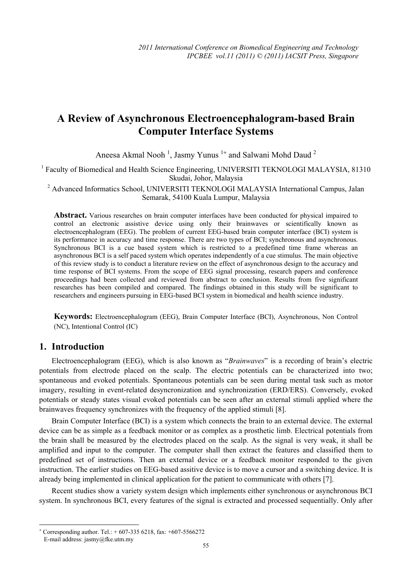# **A Review of Asynchronous Electroencephalogram-based Brain Computer Interface Systems**

Aneesa Akmal Nooh<sup>1</sup>, Jasmy Yunus<sup>1+</sup> and Salwani Mohd Daud<sup>2</sup>

<sup>1</sup> Faculty of Biomedical and Health Science Engineering, UNIVERSITI TEKNOLOGI MALAYSIA, 81310 Skudai, Johor, Malaysia

<sup>2</sup> Advanced Informatics School, UNIVERSITI TEKNOLOGI MALAYSIA International Campus, Jalan Semarak, 54100 Kuala Lumpur, Malaysia

**Abstract.** Various researches on brain computer interfaces have been conducted for physical impaired to control an electronic assistive device using only their brainwaves or scientifically known as electroencephalogram (EEG). The problem of current EEG-based brain computer interface (BCI) system is its performance in accuracy and time response. There are two types of BCI; synchronous and asynchronous. Synchronous BCI is a cue based system which is restricted to a predefined time frame whereas an asynchronous BCI is a self paced system which operates independently of a cue stimulus. The main objective of this review study is to conduct a literature review on the effect of asynchronous design to the accuracy and time response of BCI systems. From the scope of EEG signal processing, research papers and conference proceedings had been collected and reviewed from abstract to conclusion. Results from five significant researches has been compiled and compared. The findings obtained in this study will be significant to researchers and engineers pursuing in EEG-based BCI system in biomedical and health science industry.

**Keywords:** Electroencephalogram (EEG), Brain Computer Interface (BCI), Asynchronous, Non Control (NC), Intentional Control (IC)

## **1. Introduction**

Electroencephalogram (EEG), which is also known as "*Brainwaves*" is a recording of brain's electric potentials from electrode placed on the scalp. The electric potentials can be characterized into two; spontaneous and evoked potentials. Spontaneous potentials can be seen during mental task such as motor imagery, resulting in event-related desyncronization and synchronization (ERD/ERS). Conversely, evoked potentials or steady states visual evoked potentials can be seen after an external stimuli applied where the brainwaves frequency synchronizes with the frequency of the applied stimuli [8].

Brain Computer Interface (BCI) is a system which connects the brain to an external device. The external device can be as simple as a feedback monitor or as complex as a prosthetic limb. Electrical potentials from the brain shall be measured by the electrodes placed on the scalp. As the signal is very weak, it shall be amplified and input to the computer. The computer shall then extract the features and classified them to predefined set of instructions. Then an external device or a feedback monitor responded to the given instruction. The earlier studies on EEG-based assitive device is to move a cursor and a switching device. It is already being implemented in clinical application for the patient to communicate with others [7].

Recent studies show a variety system design which implements either synchronous or asynchronous BCI system. In synchronous BCI, every features of the signal is extracted and processed sequentially. Only after

 $\overline{a}$ 

<sup>+</sup> Corresponding author. Tel.: + 607-335 6218, fax: +607-5566272

E-mail address: jasmy@fke.utm.my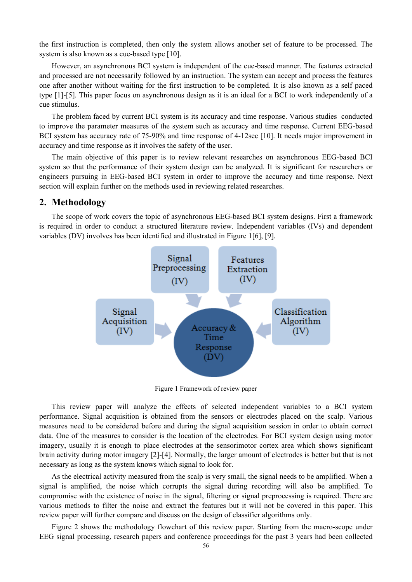the first instruction is completed, then only the system allows another set of feature to be processed. The system is also known as a cue-based type [10].

However, an asynchronous BCI system is independent of the cue-based manner. The features extracted and processed are not necessarily followed by an instruction. The system can accept and process the features one after another without waiting for the first instruction to be completed. It is also known as a self paced type [1]-[5]. This paper focus on asynchronous design as it is an ideal for a BCI to work independently of a cue stimulus.

The problem faced by current BCI system is its accuracy and time response. Various studies conducted to improve the parameter measures of the system such as accuracy and time response. Current EEG-based BCI system has accuracy rate of 75-90% and time response of 4-12sec [10]. It needs major improvement in accuracy and time response as it involves the safety of the user.

The main objective of this paper is to review relevant researches on asynchronous EEG-based BCI system so that the performance of their system design can be analyzed. It is significant for researchers or engineers pursuing in EEG-based BCI system in order to improve the accuracy and time response. Next section will explain further on the methods used in reviewing related researches.

### **2. Methodology**

The scope of work covers the topic of asynchronous EEG-based BCI system designs. First a framework is required in order to conduct a structured literature review. Independent variables (IVs) and dependent variables (DV) involves has been identified and illustrated in Figure 1[6], [9].



Figure 1 Framework of review paper

This review paper will analyze the effects of selected independent variables to a BCI system performance. Signal acquisition is obtained from the sensors or electrodes placed on the scalp. Various measures need to be considered before and during the signal acquisition session in order to obtain correct data. One of the measures to consider is the location of the electrodes. For BCI system design using motor imagery, usually it is enough to place electrodes at the sensorimotor cortex area which shows significant brain activity during motor imagery [2]-[4]. Normally, the larger amount of electrodes is better but that is not necessary as long as the system knows which signal to look for.

As the electrical activity measured from the scalp is very small, the signal needs to be amplified. When a signal is amplified, the noise which corrupts the signal during recording will also be amplified. To compromise with the existence of noise in the signal, filtering or signal preprocessing is required. There are various methods to filter the noise and extract the features but it will not be covered in this paper. This review paper will further compare and discuss on the design of classifier algorithms only.

Figure 2 shows the methodology flowchart of this review paper. Starting from the macro-scope under EEG signal processing, research papers and conference proceedings for the past 3 years had been collected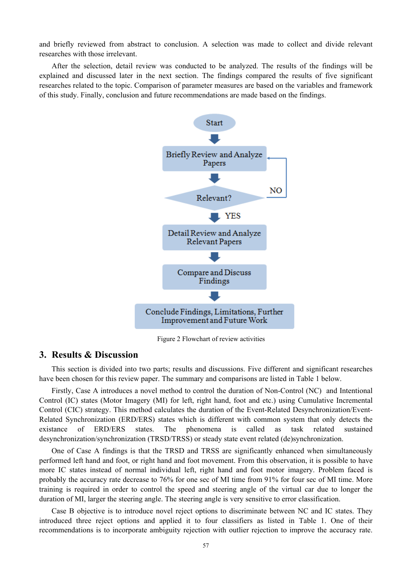and briefly reviewed from abstract to conclusion. A selection was made to collect and divide relevant researches with those irrelevant.

After the selection, detail review was conducted to be analyzed. The results of the findings will be explained and discussed later in the next section. The findings compared the results of five significant researches related to the topic. Comparison of parameter measures are based on the variables and framework of this study. Finally, conclusion and future recommendations are made based on the findings.



Figure 2 Flowchart of review activities

## **3. Results & Discussion**

This section is divided into two parts; results and discussions. Five different and significant researches have been chosen for this review paper. The summary and comparisons are listed in Table 1 below.

Firstly, Case A introduces a novel method to control the duration of Non-Control (NC) and Intentional Control (IC) states (Motor Imagery (MI) for left, right hand, foot and etc.) using Cumulative Incremental Control (CIC) strategy. This method calculates the duration of the Event-Related Desynchronization/Event-Related Synchronization (ERD/ERS) states which is different with common system that only detects the existance of ERD/ERS states. The phenomena is called as task related sustained desynchronization/synchronization (TRSD/TRSS) or steady state event related (de)synchronization.

One of Case A findings is that the TRSD and TRSS are significantly enhanced when simultaneously performed left hand and foot, or right hand and foot movement. From this observation, it is possible to have more IC states instead of normal individual left, right hand and foot motor imagery. Problem faced is probably the accuracy rate decrease to 76% for one sec of MI time from 91% for four sec of MI time. More training is required in order to control the speed and steering angle of the virtual car due to longer the duration of MI, larger the steering angle. The steering angle is very sensitive to error classification.

Case B objective is to introduce novel reject options to discriminate between NC and IC states. They introduced three reject options and applied it to four classifiers as listed in Table 1. One of their recommendations is to incorporate ambiguity rejection with outlier rejection to improve the accuracy rate.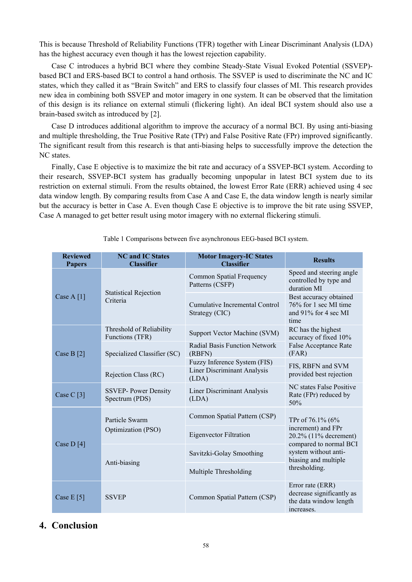This is because Threshold of Reliability Functions (TFR) together with Linear Discriminant Analysis (LDA) has the highest accuracy even though it has the lowest rejection capability.

Case C introduces a hybrid BCI where they combine Steady-State Visual Evoked Potential (SSVEP) based BCI and ERS-based BCI to control a hand orthosis. The SSVEP is used to discriminate the NC and IC states, which they called it as "Brain Switch" and ERS to classify four classes of MI. This research provides new idea in combining both SSVEP and motor imagery in one system. It can be observed that the limitation of this design is its reliance on external stimuli (flickering light). An ideal BCI system should also use a brain-based switch as introduced by [2].

Case D introduces additional algorithm to improve the accuracy of a normal BCI. By using anti-biasing and multiple thresholding, the True Positive Rate (TPr) and False Positive Rate (FPr) improved significantly. The significant result from this research is that anti-biasing helps to successfully improve the detection the NC states.

Finally, Case E objective is to maximize the bit rate and accuracy of a SSVEP-BCI system. According to their research, SSVEP-BCI system has gradually becoming unpopular in latest BCI system due to its restriction on external stimuli. From the results obtained, the lowest Error Rate (ERR) achieved using 4 sec data window length. By comparing results from Case A and Case E, the data window length is nearly similar but the accuracy is better in Case A. Even though Case E objective is to improve the bit rate using SSVEP, Case A managed to get better result using motor imagery with no external flickering stimuli.

| <b>Reviewed</b><br><b>Papers</b> | <b>NC</b> and IC States<br><b>Classifier</b> | <b>Motor Imagery-IC States</b><br><b>Classifier</b>                         | <b>Results</b>                                                                                                                                             |
|----------------------------------|----------------------------------------------|-----------------------------------------------------------------------------|------------------------------------------------------------------------------------------------------------------------------------------------------------|
| Case A $[1]$                     | <b>Statistical Rejection</b><br>Criteria     | Common Spatial Frequency<br>Patterns (CSFP)                                 | Speed and steering angle<br>controlled by type and<br>duration MI                                                                                          |
|                                  |                                              | <b>Cumulative Incremental Control</b><br>Strategy (CIC)                     | Best accuracy obtained<br>76% for 1 sec MI time<br>and 91% for 4 sec MI<br>time                                                                            |
| Case B $[2]$                     | Threshold of Reliability<br>Functions (TFR)  | Support Vector Machine (SVM)                                                | RC has the highest<br>accuracy of fixed 10%<br><b>False Acceptance Rate</b><br>(FAR)<br>FIS, RBFN and SVM<br>provided best rejection                       |
|                                  | Specialized Classifier (SC)                  | Radial Basis Function Network<br>(RBFN)                                     |                                                                                                                                                            |
|                                  | Rejection Class (RC)                         | Fuzzy Inference System (FIS)<br><b>Liner Discriminant Analysis</b><br>(LDA) |                                                                                                                                                            |
| Case C [3]                       | <b>SSVEP-Power Density</b><br>Spectrum (PDS) | <b>Liner Discriminant Analysis</b><br>(LDA)                                 | NC states False Positive<br>Rate (FPr) reduced by<br>50%                                                                                                   |
| Case D $[4]$                     | Particle Swarm<br>Optimization (PSO)         | Common Spatial Pattern (CSP)                                                | TPr of 76.1% (6%<br>increment) and FPr<br>20.2% (11% decrement)<br>compared to normal BCI<br>system without anti-<br>biasing and multiple<br>thresholding. |
|                                  |                                              | <b>Eigenvector Filtration</b>                                               |                                                                                                                                                            |
|                                  | Anti-biasing                                 | Savitzki-Golay Smoothing                                                    |                                                                                                                                                            |
|                                  |                                              | Multiple Thresholding                                                       |                                                                                                                                                            |
| Case E $[5]$                     | <b>SSVEP</b>                                 | Common Spatial Pattern (CSP)                                                | Error rate (ERR)<br>decrease significantly as<br>the data window length<br>increases.                                                                      |

Table 1 Comparisons between five asynchronous EEG-based BCI system.

## **4. Conclusion**